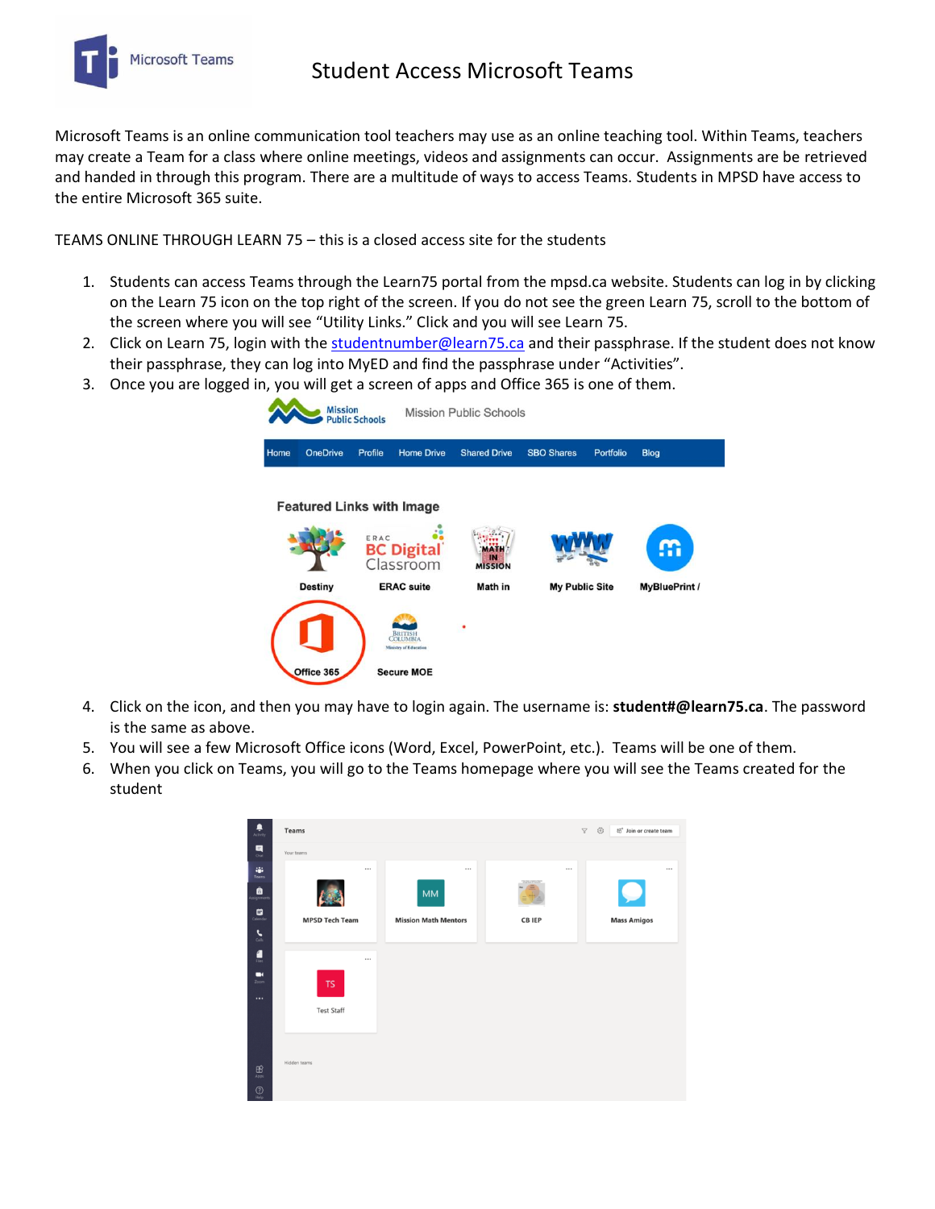

Microsoft Teams is an online communication tool teachers may use as an online teaching tool. Within Teams, teachers may create a Team for a class where online meetings, videos and assignments can occur. Assignments are be retrieved and handed in through this program. There are a multitude of ways to access Teams. Students in MPSD have access to the entire Microsoft 365 suite.

TEAMS ONLINE THROUGH LEARN 75 – this is a closed access site for the students

- 1. Students can access Teams through the Learn75 portal from the mpsd.ca website. Students can log in by clicking on the Learn 75 icon on the top right of the screen. If you do not see the green Learn 75, scroll to the bottom of the screen where you will see "Utility Links." Click and you will see Learn 75.
- 2. Click on Learn 75, login with the [studentnumber@learn75.ca](mailto:studentnumber@learn75.ca) and their passphrase. If the student does not know their passphrase, they can log into MyED and find the passphrase under "Activities".
- 3. Once you are logged in, you will get a screen of apps and Office 365 is one of them.

| <b>Mission</b><br><b>Public Schools</b> |                                  | <b>Mission Public Schools</b>                       |                                                            |                                 |                       |           |                      |  |
|-----------------------------------------|----------------------------------|-----------------------------------------------------|------------------------------------------------------------|---------------------------------|-----------------------|-----------|----------------------|--|
| Home                                    | <b>OneDrive</b>                  | Profile                                             | <b>Home Drive</b>                                          | <b>Shared Drive</b>             | <b>SBO Shares</b>     | Portfolio | <b>Blog</b>          |  |
|                                         | <b>Featured Links with Image</b> | ERAC                                                |                                                            |                                 |                       |           |                      |  |
| <b>Destiny</b>                          |                                  | <b>BC Digital</b><br>Classroom<br><b>ERAC</b> suite |                                                            | IN<br><b>MISSION</b><br>Math in | <b>My Public Site</b> |           | <b>MyBluePrint /</b> |  |
|                                         |                                  |                                                     | <b>BRITISH</b><br>COLUMBIA<br><b>Ministry of Education</b> | ٠                               |                       |           |                      |  |
| Office 365                              |                                  |                                                     | <b>Secure MOE</b>                                          |                                 |                       |           |                      |  |

- 4. Click on the icon, and then you may have to login again. The username is: **student#@learn75.ca**. The password is the same as above.
- 5. You will see a few Microsoft Office icons (Word, Excel, PowerPoint, etc.). Teams will be one of them.
- 6. When you click on Teams, you will go to the Teams homepage where you will see the Teams created for the student